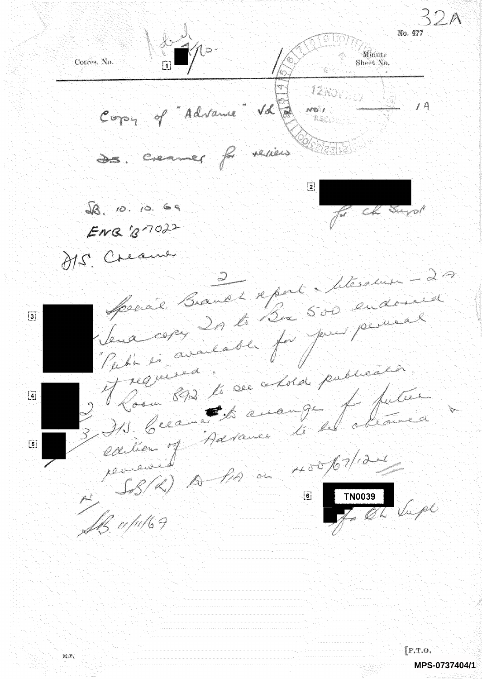Minute Corres. No. Sheet No.  $12\gamma_{\rm O_1}$ Copy of "Advance" Vd  $1A$  $100$ de creaner freviers  $\overline{2}$  $98.10.10.69$ Cha Surgell  $E_{W}$  $g_{7}$  $32$ H.S. Creame Social Brand & eport Moralus - 20 Special Branch Report 500 endo  $\overline{3}$ Sena copy 20 to 200 000 pour 2 Room 892 le ce choix 7 putier  $\left[ 4 \right]$ IS Cream Advance le 4 obta  $\lceil 5 \rceil$ debteur of<br>SBR) A PA au 400/07/121 journée TNO039<br>Le OL Vapl **SB** w/u/69  $[$ P.T.O. M.P. **MPS-0737404/1**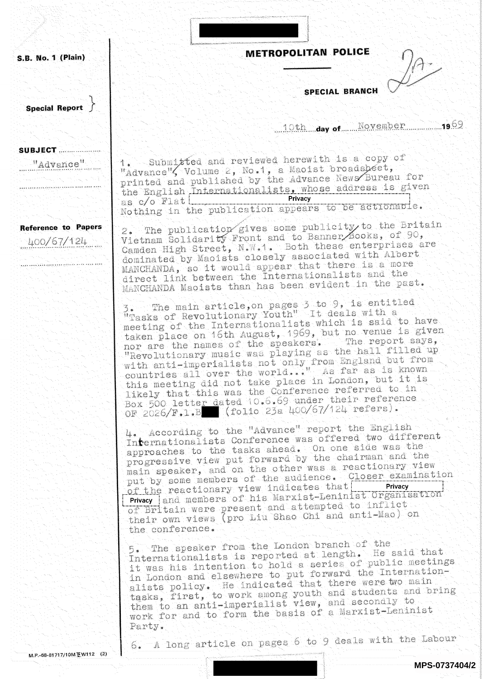S.B. No. 1 (Plain)

**Special Report** 

**SUBJECT** ....................

"Advance"

**Reference to Papers** 

400/67/124

METROPOLITAN POLICE

**SPECIAL BRANCH** 

10th day of November 1969

1. Submitted and reviewed herewith is a copy of "Advance", Volume 2, No.1, a Maoist broadsbeet, printed and published by the Advance News Bureau for the English Internationalists, whose address is given Privacy as c/o Flat | \_\_\_\_\_\_ Nothing in the publication appears to be actionable.

The publication gives some publicity to the Britain Vietnam Solidarity Front and to Banner Books, of 90, Camden High Street, N.W.1. Both these enterprises are dominated by Maoists closely associated with Albert MANCHANDA, so it would appear that there is a more direct link between the Internationalists and the MANCHANDA Maoists than has been evident in the past.

3. The main article, on pages 3 to 9, is entitled<br>"Tasks of Revolutionary Youth" It deals with a meeting of the Internationalists which is said to have taken place on 16th August, 1969, but no venue is given nor are the names of the speakers. The report says, "Revolutionary music was playing as the hall filled up with anti-imperialists not only from England but from<br>countries all over the world..." As far as is known this meeting did not take place in London, but it is likely that this was the Conference referred to in Box 500 letter dated 10.6.69 under their reference<br>OF 2026/F.1.B (folio 23a 400/67/124 refers).

4. According to the "Advance" report the English Internationalists Conference was offered two different approaches to the tasks ahead. On one side was the progressive view put forward by the chairman and the main speaker, and on the other was a reactionary view put by some members of the audience. Closer examination of the reactionary view indicates that Privacy Privacy and members of his Marxist-Leninist Organisation of Britain were present and attempted to inflict their own views (pro Liu Shao Chi and anti-Mao) on the conference.

5. The speaker from the London branch of the Internationalists is reported at length. He said that it was his intention to hold a series of public meetings in London and elsewhere to put forward the Internationalists policy. He indicated that there were wo main tasks, first, to work among youth and students and bring them to an anti-imperialist view, and secondly to work for and to form the basis of a Marxist-Leninist Party.

A long article on pages 6 to 9 deals with the Labour 6.

M.P.-68-81717/10M至W112 (2)

MPS-0737404/2